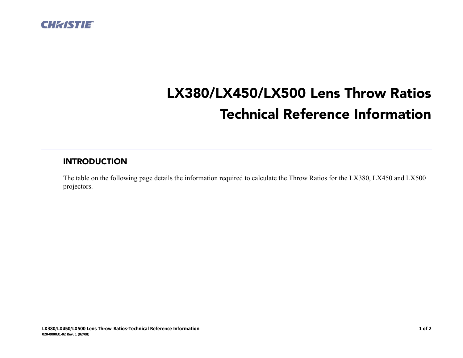

## LX380/LX450/LX500 Lens Throw Ratios Technical Reference Information

## INTRODUCTION

The table on the following page details the information required to calculate the Throw Ratios for the LX380, LX450 and LX500 projectors.